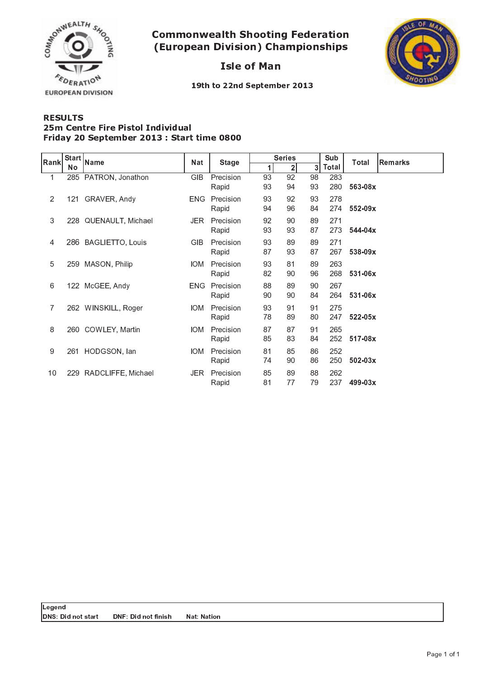

 - -  - 

**Isle of Man** 



19th to 22nd September 2013

## RESULTS Friday 20 September 2013 : Start time 0800 25m Centre Fire Pistol Individual

| Rank           | Start<br>No | <b>Name</b>           | <b>Nat</b> | <b>Stage</b>       | <b>Series</b> |                |          | Sub        | Total       | <b>Remarks</b> |
|----------------|-------------|-----------------------|------------|--------------------|---------------|----------------|----------|------------|-------------|----------------|
|                |             |                       |            |                    | 1             | 2 <sub>1</sub> | 3        | Total      |             |                |
| $\mathbf{1}$   | 285         | PATRON, Jonathon      | GIB        | Precision<br>Rapid | 93<br>93      | 92<br>94       | 98<br>93 | 283<br>280 | 563-08x     |                |
| 2              |             | 121 GRAVER, Andy      | <b>ENG</b> | Precision<br>Rapid | 93<br>94      | 92<br>96       | 93<br>84 | 278<br>274 | $552 - 09x$ |                |
| 3              |             | 228 QUENAULT, Michael | JER.       | Precision<br>Rapid | 92<br>93      | 90<br>93       | 89<br>87 | 271<br>273 | $544 - 04x$ |                |
| 4              |             | 286 BAGLIETTO, Louis  | <b>GIB</b> | Precision<br>Rapid | 93<br>87      | 89<br>93       | 89<br>87 | 271<br>267 | 538-09x     |                |
| 5              | 259         | MASON, Philip         | IOM.       | Precision<br>Rapid | 93<br>82      | 81<br>90       | 89<br>96 | 263<br>268 | 531-06x     |                |
| 6              | 122         | McGEE, Andy           | ENG.       | Precision<br>Rapid | 88<br>90      | 89<br>90       | 90<br>84 | 267<br>264 | 531-06x     |                |
| $\overline{7}$ |             | 262 WINSKILL, Roger   | IOM.       | Precision<br>Rapid | 93<br>78      | 91<br>89       | 91<br>80 | 275<br>247 | $522 - 05x$ |                |
| 8              |             | 260 COWLEY, Martin    | IOM.       | Precision<br>Rapid | 87<br>85      | 87<br>83       | 91<br>84 | 265<br>252 | $517 - 08x$ |                |
| 9              | 261         | HODGSON, lan          | <b>IOM</b> | Precision<br>Rapid | 81<br>74      | 85<br>90       | 86<br>86 | 252<br>250 | $502 - 03x$ |                |
| 10             | 229         | RADCLIFFE, Michael    | JER.       | Precision<br>Rapid | 85<br>81      | 89<br>77       | 88<br>79 | 262<br>237 | 499-03x     |                |